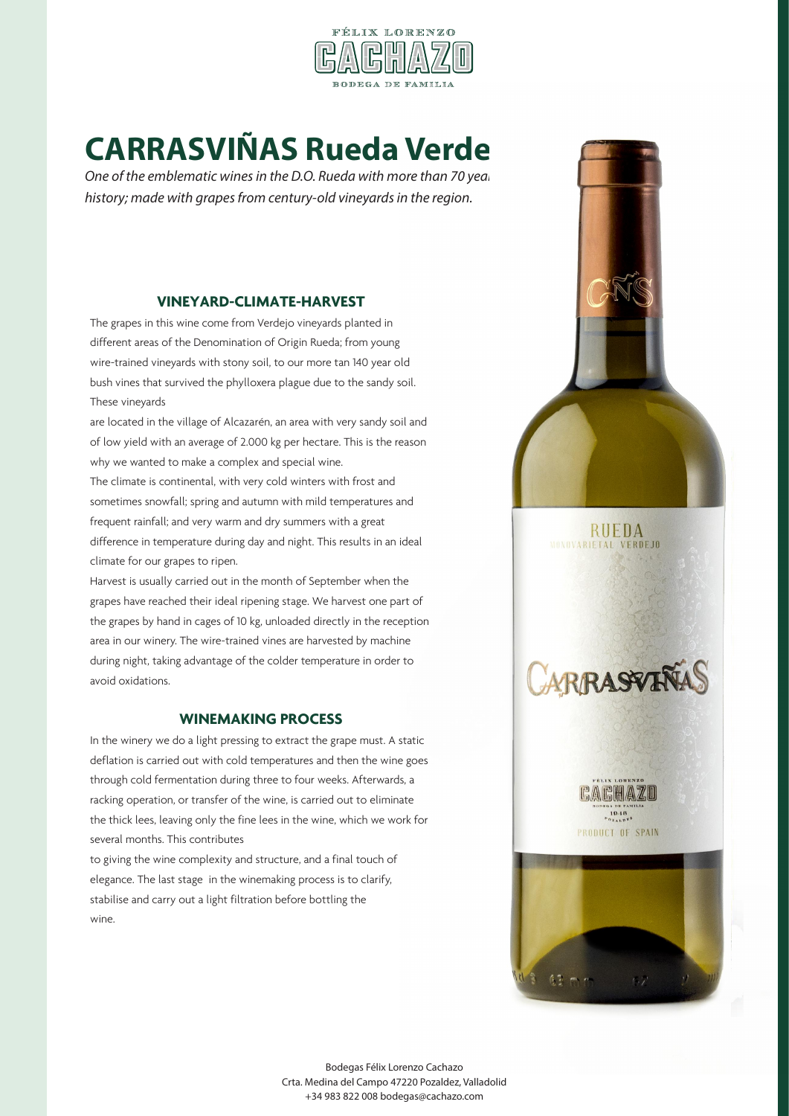

# **CARRASVIÑAS Rueda Verdejo**

One of the emblematic wines in the D.O. Rueda with more than 70 years *history; made with grapes from century-old vineyards in the region.*

#### **VINEYARD-CLIMATE-HARVEST**

The grapes in this wine come from Verdejo vineyards planted in different areas of the Denomination of Origin Rueda; from young wire-trained vineyards with stony soil, to our more tan 140 year old bush vines that survived the phylloxera plague due to the sandy soil. These vineyards

are located in the village of Alcazarén, an area with very sandy soil and of low yield with an average of 2.000 kg per hectare. This is the reason why we wanted to make a complex and special wine.

The climate is continental, with very cold winters with frost and sometimes snowfall; spring and autumn with mild temperatures and frequent rainfall; and very warm and dry summers with a great difference in temperature during day and night. This results in an ideal climate for our grapes to ripen.

Harvest is usually carried out in the month of September when the grapes have reached their ideal ripening stage. We harvest one part of the grapes by hand in cages of 10 kg, unloaded directly in the reception area in our winery. The wire-trained vines are harvested by machine during night, taking advantage of the colder temperature in order to avoid oxidations.

### **WINEMAKING PROCESS**

In the winery we do a light pressing to extract the grape must. A static deflation is carried out with cold temperatures and then the wine goes through cold fermentation during three to four weeks. Afterwards, a racking operation, or transfer of the wine, is carried out to eliminate the thick lees, leaving only the fine lees in the wine, which we work for several months. This contributes

to giving the wine complexity and structure, and a final touch of elegance. The last stage in the winemaking process is to clarify, stabilise and carry out a light filtration before bottling the wine.





CACHAZO  $19.18$ PRODUCT OF SPAIN

 $63 - -$ 

Bodegas Félix Lorenzo Cachazo Crta. Medina del Campo 47220 Pozaldez, Valladolid +34 983 822 008 bodegas@cachazo.com